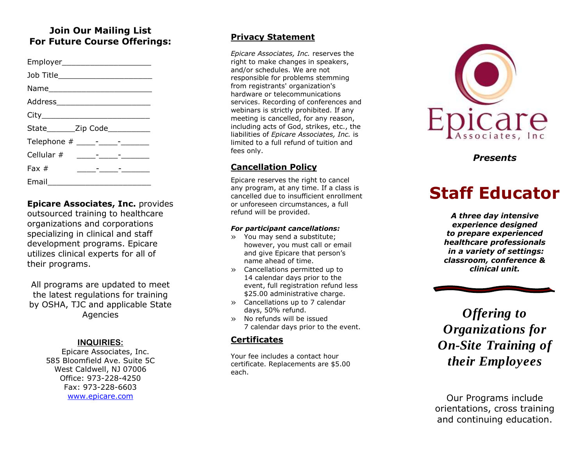## **Join Our Mailing List For Future Course Offerings:**

| Employer__________________________                      |  |
|---------------------------------------------------------|--|
| Job Title_________________________                      |  |
|                                                         |  |
|                                                         |  |
|                                                         |  |
| State________Zip Code___________                        |  |
|                                                         |  |
| Cellular # _____-___-____-______                        |  |
| Fax $#$<br><u> 1989 - Andrea Station Station (1989)</u> |  |
| Email $\_\_$                                            |  |

**Epicare Associates, Inc.** provides outsourced training to healthcare organizations and corporations specializing in clinical and staff development programs. Epicare utilizes clinical experts for all of their programs.

All programs are updated to meet the latest regulations for training by OSHA, TJC and applicable State Agencies

### **INQUIRIES :**

Epicare Associates, Inc. 585 Bloomfield Ave. Suite 5C West Caldwell, NJ 07006 Office: 973 -228 -4250 Fax: 973 -228 -6603 [www.epicare.com](http://www.epicare.com/)

#### **Privacy Statement**

*Epicare Associates, Inc.* reserves the right to make changes in speakers, and/or schedules. We are not responsible for problems stemming from registrants' organization's hardware or telecommunications services. Recording of conferences and webinars is strictly prohibited. If any meeting is cancelled, for any reason, including acts of God, strikes, etc., the liabilities of *Epicare Associates, Inc.* is limited to a full refund of tuition and fees only.

## **Cancellation Policy**

Epicare reserves the right to cancel any program, at any time. If a class is cancelled due to insufficient enrollment or unforeseen circumstances, a full refund will be provided.

#### *For participant cancellations:*

- » You may send a substitute; however, you must call or email and give Epicare that person's name ahead of time.
- » Cancellations permitted up to 14 calendar days prior to the event, full registration refund less \$25.00 administrative charge.
- » Cancellations up to 7 calendar days, 50% refund.
- » No refunds will be issued 7 calendar days prior to the event.

### **Certificates**

Your fee includes a contact hour certificate. Replacements are \$5.00 each.



*Presents*

# **Staff Educator**

*A three day intensive experience designed to prepare experienced healthcare professionals in a variety of settings: classroom, conference & clinical unit.*



*Offering to Organizations for On -Site Training of their Employees*

Our Programs include orientation s, cross training and continuing education.